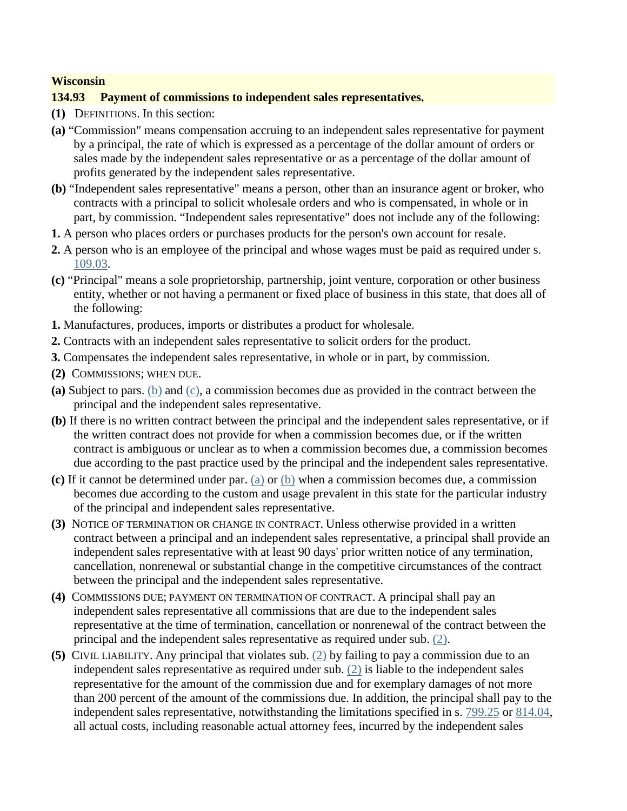## **Wisconsin**

## **134.93 Payment of commissions to independent sales representatives.**

- **(1)** DEFINITIONS. In this section:
- **(a)** "Commission" means compensation accruing to an independent sales representative for payment by a principal, the rate of which is expressed as a percentage of the dollar amount of orders or sales made by the independent sales representative or as a percentage of the dollar amount of profits generated by the independent sales representative.
- **(b)** "Independent sales representative" means a person, other than an insurance agent or broker, who contracts with a principal to solicit wholesale orders and who is compensated, in whole or in part, by commission. "Independent sales representative" does not include any of the following:
- **1.** A person who places orders or purchases products for the person's own account for resale.
- **2.** A person who is an employee of the principal and whose wages must be paid as required under s. 109.03.
- **(c)** "Principal" means a sole proprietorship, partnership, joint venture, corporation or other business entity, whether or not having a permanent or fixed place of business in this state, that does all of the following:
- **1.** Manufactures, produces, imports or distributes a product for wholesale.
- **2.** Contracts with an independent sales representative to solicit orders for the product.
- **3.** Compensates the independent sales representative, in whole or in part, by commission.
- **(2)** COMMISSIONS; WHEN DUE.
- **(a)** Subject to pars. (b) and (c), a commission becomes due as provided in the contract between the principal and the independent sales representative.
- **(b)** If there is no written contract between the principal and the independent sales representative, or if the written contract does not provide for when a commission becomes due, or if the written contract is ambiguous or unclear as to when a commission becomes due, a commission becomes due according to the past practice used by the principal and the independent sales representative.
- **(c)** If it cannot be determined under par. (a) or (b) when a commission becomes due, a commission becomes due according to the custom and usage prevalent in this state for the particular industry of the principal and independent sales representative.
- **(3)** NOTICE OF TERMINATION OR CHANGE IN CONTRACT. Unless otherwise provided in a written contract between a principal and an independent sales representative, a principal shall provide an independent sales representative with at least 90 days' prior written notice of any termination, cancellation, nonrenewal or substantial change in the competitive circumstances of the contract between the principal and the independent sales representative.
- **(4)** COMMISSIONS DUE; PAYMENT ON TERMINATION OF CONTRACT. A principal shall pay an independent sales representative all commissions that are due to the independent sales representative at the time of termination, cancellation or nonrenewal of the contract between the principal and the independent sales representative as required under sub. (2).
- **(5)** CIVIL LIABILITY. Any principal that violates sub. (2) by failing to pay a commission due to an independent sales representative as required under sub. (2) is liable to the independent sales representative for the amount of the commission due and for exemplary damages of not more than 200 percent of the amount of the commissions due. In addition, the principal shall pay to the independent sales representative, notwithstanding the limitations specified in s. 799.25 or 814.04, all actual costs, including reasonable actual attorney fees, incurred by the independent sales